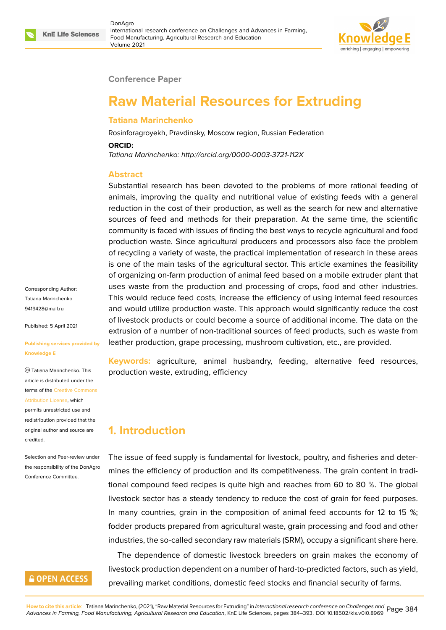

#### **Conference Paper**

# **Raw Material Resources for Extruding**

### **Tatiana Marinchenko**

Rosinforagroyekh, Pravdinsky, Moscow region, Russian Federation

#### **ORCID:**

*Tatiana Marinchenko: http://orcid.org/0000-0003-3721-112X*

### **Abstract**

Substantial research has been devoted to the problems of more rational feeding of animals, improving the quality and nutritional value of existing feeds with a general reduction in the cost of their production, as well as the search for new and alternative sources of feed and methods for their preparation. At the same time, the scientific community is faced with issues of finding the best ways to recycle agricultural and food production waste. Since agricultural producers and processors also face the problem of recycling a variety of waste, the practical implementation of research in these areas is one of the main tasks of the agricultural sector. This article examines the feasibility of organizing on-farm production of animal feed based on a mobile extruder plant that uses waste from the production and processing of crops, food and other industries. This would reduce feed costs, increase the efficiency of using internal feed resources and would utilize production waste. This approach would significantly reduce the cost of livestock products or could become a source of additional income. The data on the extrusion of a number of non-traditional sources of feed products, such as waste from leather production, grape processing, mushroom cultivation, etc., are provided.

**Keywords:** agriculture, animal husbandry, feeding, alternative feed resources, production waste, extruding, efficiency

# **1. Introduction**

The issue of feed supply is fundamental for livestock, poultry, and fisheries and determines the efficiency of production and its competitiveness. The grain content in traditional compound feed recipes is quite high and reaches from 60 to 80 %. The global livestock sector has a steady tendency to reduce the cost of grain for feed purposes. In many countries, grain in the composition of animal feed accounts for 12 to 15 %; fodder products prepared from agricultural waste, grain processing and food and other industries, the so-called secondary raw materials (SRM), occupy a significant share here.

The dependence of domestic livestock breeders on grain makes the economy of livestock production dependent on a number of hard-to-predicted factors, such as yield, prevailing market conditions, domestic feed stocks and financial security of farms.

Corresponding Author: Tatiana Marinchenko 9419428@mail.ru

Published: 5 April 2021

#### **[Publishing servic](mailto:9419428@mail.ru)es provided by Knowledge E**

Tatiana Marinchenko. This article is distributed under the terms of the Creative Commons Attribution License, which

permits unrestricted use and redistribution provided that the original auth[or and source are](https://creativecommons.org/licenses/by/4.0/) [credited.](https://creativecommons.org/licenses/by/4.0/)

#### Selection and Peer-review under the responsibility of the DonAgro Conference Committee.

# **GOPEN ACCESS**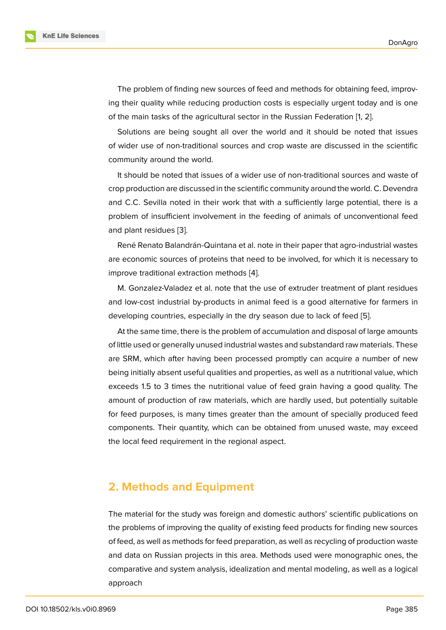The problem of finding new sources of feed and methods for obtaining feed, improving their quality while reducing production costs is especially urgent today and is one of the main tasks of the agricultural sector in the Russian Federation [1, 2].

Solutions are being sought all over the world and it should be noted that issues of wider use of non-traditional sources and crop waste are discusse[d](#page-8-0) [in](#page-8-1) the scientific community around the world.

It should be noted that issues of a wider use of non-traditional sources and waste of crop production are discussed in the scientific community around the world. C. Devendra and C.C. Sevilla noted in their work that with a sufficiently large potential, there is a problem of insufficient involvement in the feeding of animals of unconventional feed and plant residues [3].

René Renato Balandrán-Quintana et al. note in their paper that agro-industrial wastes are economic sources of proteins that need to be involved, for which it is necessary to improve traditional [ex](#page-8-2)traction methods [4].

M. Gonzalez-Valadez et al. note that the use of extruder treatment of plant residues and low-cost industrial by-products in animal feed is a good alternative for farmers in developing countries, especially in the [dr](#page-8-3)y season due to lack of feed [5].

At the same time, there is the problem of accumulation and disposal of large amounts of little used or generally unused industrial wastes and substandard raw materials. These are SRM, which after having been processed promptly can acquire a [nu](#page-8-4)mber of new being initially absent useful qualities and properties, as well as a nutritional value, which exceeds 1.5 to 3 times the nutritional value of feed grain having a good quality. The amount of production of raw materials, which are hardly used, but potentially suitable for feed purposes, is many times greater than the amount of specially produced feed components. Their quantity, which can be obtained from unused waste, may exceed the local feed requirement in the regional aspect.

# **2. Methods and Equipment**

The material for the study was foreign and domestic authors' scientific publications on the problems of improving the quality of existing feed products for finding new sources of feed, as well as methods for feed preparation, as well as recycling of production waste and data on Russian projects in this area. Methods used were monographic ones, the comparative and system analysis, idealization and mental modeling, as well as a logical approach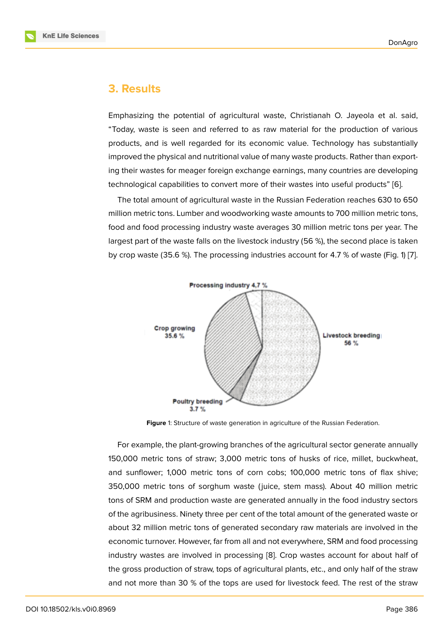### **3. Results**

Emphasizing the potential of agricultural waste, Christianah O. Jayeola et al. said, "Today, waste is seen and referred to as raw material for the production of various products, and is well regarded for its economic value. Technology has substantially improved the physical and nutritional value of many waste products. Rather than exporting their wastes for meager foreign exchange earnings, many countries are developing technological capabilities to convert more of their wastes into useful products" [6].

The total amount of agricultural waste in the Russian Federation reaches 630 to 650 million metric tons. Lumber and woodworking waste amounts to 700 million metric tons, food and food processing industry waste averages 30 million metric tons per ye[ar](#page-8-5). The largest part of the waste falls on the livestock industry (56 %), the second place is taken by crop waste (35.6 %). The processing industries account for 4.7 % of waste (Fig. 1) [7].



**Figure** 1: Structure of waste generation in agriculture of the Russian Federation.

For example, the plant-growing branches of the agricultural sector generate annually 150,000 metric tons of straw; 3,000 metric tons of husks of rice, millet, buckwheat, and sunflower; 1,000 metric tons of corn cobs; 100,000 metric tons of flax shive; 350,000 metric tons of sorghum waste ( juice, stem mass). About 40 million metric tons of SRM and production waste are generated annually in the food industry sectors of the agribusiness. Ninety three per cent of the total amount of the generated waste or about 32 million metric tons of generated secondary raw materials are involved in the economic turnover. However, far from all and not everywhere, SRM and food processing industry wastes are involved in processing [8]. Crop wastes account for about half of the gross production of straw, tops of agricultural plants, etc., and only half of the straw and not more than 30 % of the tops are used for livestock feed. The rest of the straw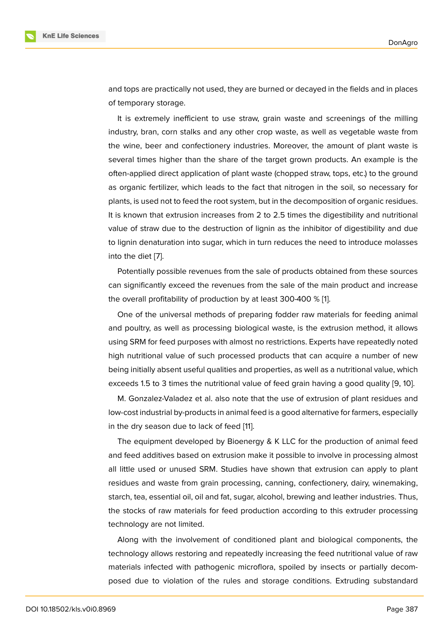and tops are practically not used, they are burned or decayed in the fields and in places of temporary storage.

It is extremely inefficient to use straw, grain waste and screenings of the milling industry, bran, corn stalks and any other crop waste, as well as vegetable waste from the wine, beer and confectionery industries. Moreover, the amount of plant waste is several times higher than the share of the target grown products. An example is the often-applied direct application of plant waste (chopped straw, tops, etc.) to the ground as organic fertilizer, which leads to the fact that nitrogen in the soil, so necessary for plants, is used not to feed the root system, but in the decomposition of organic residues. It is known that extrusion increases from 2 to 2.5 times the digestibility and nutritional value of straw due to the destruction of lignin as the inhibitor of digestibility and due to lignin denaturation into sugar, which in turn reduces the need to introduce molasses into the diet [7].

Potentially possible revenues from the sale of products obtained from these sources can significantly exceed the revenues from the sale of the main product and increase the overall p[ro](#page-8-6)fitability of production by at least 300-400 % [1].

One of the universal methods of preparing fodder raw materials for feeding animal and poultry, as well as processing biological waste, is the extrusion method, it allows using SRM for feed purposes with almost no restrictions. Exp[er](#page-8-0)ts have repeatedly noted high nutritional value of such processed products that can acquire a number of new being initially absent useful qualities and properties, as well as a nutritional value, which exceeds 1.5 to 3 times the nutritional value of feed grain having a good quality [9, 10].

M. Gonzalez-Valadez et al. also note that the use of extrusion of plant residues and low-cost industrial by-products in animal feed is a good alternative for farmers, especially in the dry season due to lack of feed [11].

The equipment developed by Bioenergy & K LLC for the production of animal feed and feed additives based on extrusion make it possible to involve in processing almost all little used or unused SRM. Studie[s](#page-9-0) have shown that extrusion can apply to plant residues and waste from grain processing, canning, confectionery, dairy, winemaking, starch, tea, essential oil, oil and fat, sugar, alcohol, brewing and leather industries. Thus, the stocks of raw materials for feed production according to this extruder processing technology are not limited.

Along with the involvement of conditioned plant and biological components, the technology allows restoring and repeatedly increasing the feed nutritional value of raw materials infected with pathogenic microflora, spoiled by insects or partially decomposed due to violation of the rules and storage conditions. Extruding substandard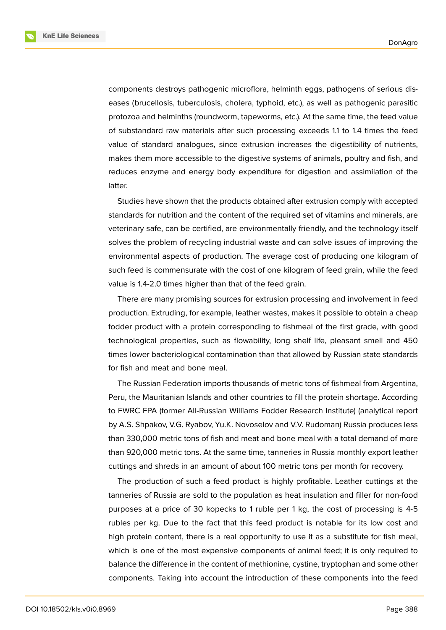**KnE Life Sciences** 



components destroys pathogenic microflora, helminth eggs, pathogens of serious diseases (brucellosis, tuberculosis, cholera, typhoid, etc.), as well as pathogenic parasitic protozoa and helminths (roundworm, tapeworms, etc.). At the same time, the feed value of substandard raw materials after such processing exceeds 1.1 to 1.4 times the feed value of standard analogues, since extrusion increases the digestibility of nutrients, makes them more accessible to the digestive systems of animals, poultry and fish, and reduces enzyme and energy body expenditure for digestion and assimilation of the latter.

Studies have shown that the products obtained after extrusion comply with accepted standards for nutrition and the content of the required set of vitamins and minerals, are veterinary safe, can be certified, are environmentally friendly, and the technology itself solves the problem of recycling industrial waste and can solve issues of improving the environmental aspects of production. The average cost of producing one kilogram of such feed is commensurate with the cost of one kilogram of feed grain, while the feed value is 1.4-2.0 times higher than that of the feed grain.

There are many promising sources for extrusion processing and involvement in feed production. Extruding, for example, leather wastes, makes it possible to obtain a cheap fodder product with a protein corresponding to fishmeal of the first grade, with good technological properties, such as flowability, long shelf life, pleasant smell and 450 times lower bacteriological contamination than that allowed by Russian state standards for fish and meat and bone meal.

The Russian Federation imports thousands of metric tons of fishmeal from Argentina, Peru, the Mauritanian Islands and other countries to fill the protein shortage. According to FWRC FPA (former All-Russian Williams Fodder Research Institute) (analytical report by A.S. Shpakov, V.G. Ryabov, Yu.K. Novoselov and V.V. Rudoman) Russia produces less than 330,000 metric tons of fish and meat and bone meal with a total demand of more than 920,000 metric tons. At the same time, tanneries in Russia monthly export leather cuttings and shreds in an amount of about 100 metric tons per month for recovery.

The production of such a feed product is highly profitable. Leather cuttings at the tanneries of Russia are sold to the population as heat insulation and filler for non-food purposes at a price of 30 kopecks to 1 ruble per 1 kg, the cost of processing is 4-5 rubles per kg. Due to the fact that this feed product is notable for its low cost and high protein content, there is a real opportunity to use it as a substitute for fish meal, which is one of the most expensive components of animal feed; it is only required to balance the difference in the content of methionine, cystine, tryptophan and some other components. Taking into account the introduction of these components into the feed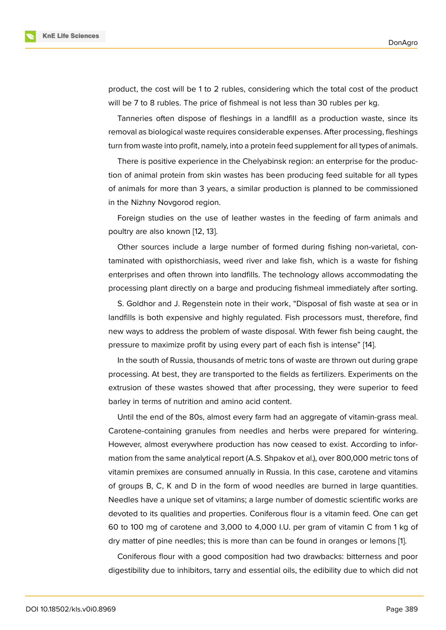product, the cost will be 1 to 2 rubles, considering which the total cost of the product will be 7 to 8 rubles. The price of fishmeal is not less than 30 rubles per kg.

Tanneries often dispose of fleshings in a landfill as a production waste, since its removal as biological waste requires considerable expenses. After processing, fleshings turn from waste into profit, namely, into a protein feed supplement for all types of animals.

There is positive experience in the Chelyabinsk region: an enterprise for the production of animal protein from skin wastes has been producing feed suitable for all types of animals for more than 3 years, a similar production is planned to be commissioned in the Nizhny Novgorod region.

Foreign studies on the use of leather wastes in the feeding of farm animals and poultry are also known [12, 13].

Other sources include a large number of formed during fishing non-varietal, contaminated with opisthorchiasis, weed river and lake fish, which is a waste for fishing enterprises and often t[hro](#page-9-1)[wn](#page-9-2) into landfills. The technology allows accommodating the processing plant directly on a barge and producing fishmeal immediately after sorting.

S. Goldhor and J. Regenstein note in their work, "Disposal of fish waste at sea or in landfills is both expensive and highly regulated. Fish processors must, therefore, find new ways to address the problem of waste disposal. With fewer fish being caught, the pressure to maximize profit by using every part of each fish is intense" [14].

In the south of Russia, thousands of metric tons of waste are thrown out during grape processing. At best, they are transported to the fields as fertilizers. Experiments on the extrusion of these wastes showed that after processing, they were s[upe](#page-9-3)rior to feed barley in terms of nutrition and amino acid content.

Until the end of the 80s, almost every farm had an aggregate of vitamin-grass meal. Carotene-containing granules from needles and herbs were prepared for wintering. However, almost everywhere production has now ceased to exist. According to information from the same analytical report (A.S. Shpakov et al.), over 800,000 metric tons of vitamin premixes are consumed annually in Russia. In this case, carotene and vitamins of groups B, C, K and D in the form of wood needles are burned in large quantities. Needles have a unique set of vitamins; a large number of domestic scientific works are devoted to its qualities and properties. Coniferous flour is a vitamin feed. One can get 60 to 100 mg of carotene and 3,000 to 4,000 I.U. per gram of vitamin C from 1 kg of dry matter of pine needles; this is more than can be found in oranges or lemons [1].

Coniferous flour with a good composition had two drawbacks: bitterness and poor digestibility due to inhibitors, tarry and essential oils, the edibility due to which di[d](#page-8-0) not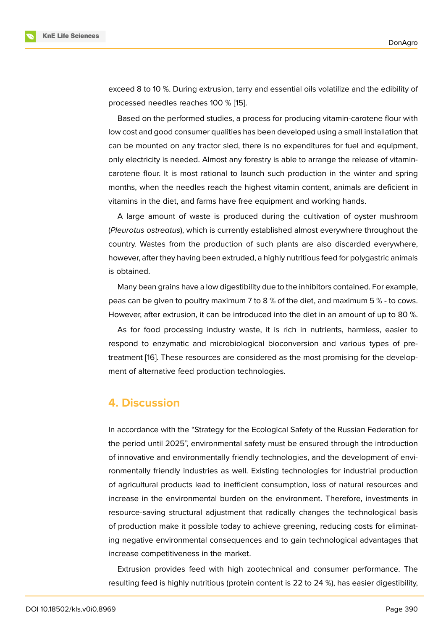exceed 8 to 10 %. During extrusion, tarry and essential oils volatilize and the edibility of processed needles reaches 100 % [15].

Based on the performed studies, a process for producing vitamin-carotene flour with low cost and good consumer qualities has been developed using a small installation that can be mounted on any tractor sle[d, t](#page-9-4)here is no expenditures for fuel and equipment, only electricity is needed. Almost any forestry is able to arrange the release of vitamincarotene flour. It is most rational to launch such production in the winter and spring months, when the needles reach the highest vitamin content, animals are deficient in vitamins in the diet, and farms have free equipment and working hands.

A large amount of waste is produced during the cultivation of oyster mushroom (*Pleurotus ostreatus*), which is currently established almost everywhere throughout the country. Wastes from the production of such plants are also discarded everywhere, however, after they having been extruded, a highly nutritious feed for polygastric animals is obtained.

Many bean grains have a low digestibility due to the inhibitors contained. For example, peas can be given to poultry maximum 7 to 8 % of the diet, and maximum 5 % - to cows. However, after extrusion, it can be introduced into the diet in an amount of up to 80 %.

As for food processing industry waste, it is rich in nutrients, harmless, easier to respond to enzymatic and microbiological bioconversion and various types of pretreatment [16]. These resources are considered as the most promising for the development of alternative feed production technologies.

### **4. Disc[us](#page-9-5)sion**

In accordance with the "Strategy for the Ecological Safety of the Russian Federation for the period until 2025", environmental safety must be ensured through the introduction of innovative and environmentally friendly technologies, and the development of environmentally friendly industries as well. Existing technologies for industrial production of agricultural products lead to inefficient consumption, loss of natural resources and increase in the environmental burden on the environment. Therefore, investments in resource-saving structural adjustment that radically changes the technological basis of production make it possible today to achieve greening, reducing costs for eliminating negative environmental consequences and to gain technological advantages that increase competitiveness in the market.

Extrusion provides feed with high zootechnical and consumer performance. The resulting feed is highly nutritious (protein content is 22 to 24 %), has easier digestibility,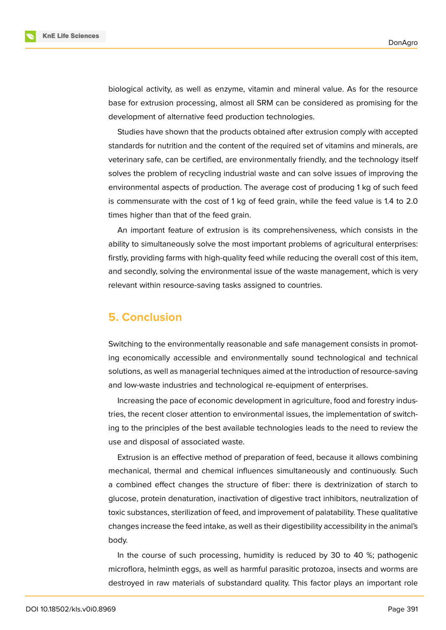

biological activity, as well as enzyme, vitamin and mineral value. As for the resource base for extrusion processing, almost all SRM can be considered as promising for the development of alternative feed production technologies.

Studies have shown that the products obtained after extrusion comply with accepted standards for nutrition and the content of the required set of vitamins and minerals, are veterinary safe, can be certified, are environmentally friendly, and the technology itself solves the problem of recycling industrial waste and can solve issues of improving the environmental aspects of production. The average cost of producing 1 kg of such feed is commensurate with the cost of 1 kg of feed grain, while the feed value is 1.4 to 2.0 times higher than that of the feed grain.

An important feature of extrusion is its comprehensiveness, which consists in the ability to simultaneously solve the most important problems of agricultural enterprises: firstly, providing farms with high-quality feed while reducing the overall cost of this item, and secondly, solving the environmental issue of the waste management, which is very relevant within resource-saving tasks assigned to countries.

## **5. Conclusion**

Switching to the environmentally reasonable and safe management consists in promoting economically accessible and environmentally sound technological and technical solutions, as well as managerial techniques aimed at the introduction of resource-saving and low-waste industries and technological re-equipment of enterprises.

Increasing the pace of economic development in agriculture, food and forestry industries, the recent closer attention to environmental issues, the implementation of switching to the principles of the best available technologies leads to the need to review the use and disposal of associated waste.

Extrusion is an effective method of preparation of feed, because it allows combining mechanical, thermal and chemical influences simultaneously and continuously. Such a combined effect changes the structure of fiber: there is dextrinization of starch to glucose, protein denaturation, inactivation of digestive tract inhibitors, neutralization of toxic substances, sterilization of feed, and improvement of palatability. These qualitative changes increase the feed intake, as well as their digestibility accessibility in the animal's body.

In the course of such processing, humidity is reduced by 30 to 40 %; pathogenic microflora, helminth eggs, as well as harmful parasitic protozoa, insects and worms are destroyed in raw materials of substandard quality. This factor plays an important role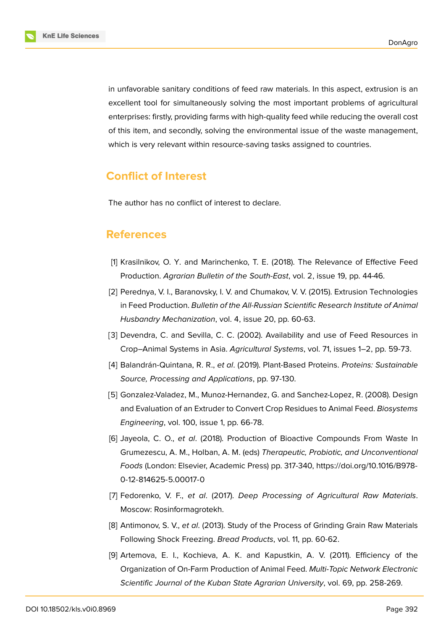in unfavorable sanitary conditions of feed raw materials. In this aspect, extrusion is an excellent tool for simultaneously solving the most important problems of agricultural enterprises: firstly, providing farms with high-quality feed while reducing the overall cost of this item, and secondly, solving the environmental issue of the waste management, which is very relevant within resource-saving tasks assigned to countries.

### **Conflict of Interest**

The author has no conflict of interest to declare.

### **References**

- [1] Krasilnikov, O. Y. and Marinchenko, T. E. (2018). The Relevance of Effective Feed Production. *Agrarian Bulletin of the South-East*, vol. 2, issue 19, pp. 44-46.
- <span id="page-8-0"></span>[2] Perednya, V. I., Baranovsky, I. V. and Chumakov, V. V. (2015). Extrusion Technologies in Feed Production. *Bulletin of the All-Russian Scientific Research Institute of Animal Husbandry Mechanization*, vol. 4, issue 20, pp. 60-63.
- <span id="page-8-1"></span>[3] Devendra, C. and Sevilla, C. C. (2002). Availability and use of Feed Resources in Crop–Animal Systems in Asia. *Agricultural Systems*, vol. 71, issues 1–2, pp. 59-73.
- <span id="page-8-2"></span>[4] Balandrán-Quintana, R. R., *et al*. (2019). Plant-Based Proteins. *Proteins: Sustainable Source, Processing and Applications*, pp. 97-130.
- <span id="page-8-3"></span>[5] Gonzalez-Valadez, M., Munoz-Hernandez, G. and Sanchez-Lopez, R. (2008). Design and Evaluation of an Extruder to Convert Crop Residues to Animal Feed. *Biosystems Engineering*, vol. 100, issue 1, pp. 66-78.
- <span id="page-8-4"></span>[6] Jayeola, C. O., *et al*. (2018). Production of Bioactive Compounds From Waste In Grumezescu, A. M., Holban, A. M. (eds) *Therapeutic, Probiotic, and Unconventional Foods* (London: Elsevier, Academic Press) pp. 317-340, https://doi.org/10.1016/B978- 0-12-814625-5.00017-0
- <span id="page-8-5"></span>[7] Fedorenko, V. F., *et al*. (2017). *Deep Processing of [Agricultural Raw Materials](https://doi.org/10.1016/B978-0-12-814625-5.00017-0)*. [Moscow: Rosinformagro](https://doi.org/10.1016/B978-0-12-814625-5.00017-0)tekh.
- <span id="page-8-6"></span>[8] Antimonov, S. V., *et al*. (2013). Study of the Process of Grinding Grain Raw Materials Following Shock Freezing. *Bread Products*, vol. 11, pp. 60-62.
- [9] Artemova, E. I., Kochieva, A. K. and Kapustkin, A. V. (2011). Efficiency of the Organization of On-Farm Production of Animal Feed. *Multi-Topic Network Electronic Scientific Journal of the Kuban State Agrarian University*, vol. 69, pp. 258-269.